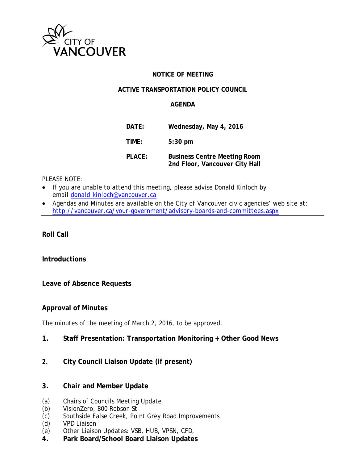

### **NOTICE OF MEETING**

### **ACTIVE TRANSPORTATION POLICY COUNCIL**

### **AGENDA**

| DATE:  | Wednesday, May 4, 2016                                                |
|--------|-----------------------------------------------------------------------|
| TIME:  | $5:30$ pm                                                             |
| PLACE: | <b>Business Centre Meeting Room</b><br>2nd Floor, Vancouver City Hall |

#### *PLEASE NOTE:*

- *If you are unable to attend this meeting, please advise Donald Kinloch by email [donald.kinloch@vancouver.ca](mailto:donald.kinloch@vancouver.ca)*
- *Agendas and Minutes are available on the City of Vancouver civic agencies' web site at: <http://vancouver.ca/your-government/advisory-boards-and-committees.aspx>*

**Roll Call** 

### **Introductions**

**Leave of Absence Requests**

#### **Approval of Minutes**

The minutes of the meeting of March 2, 2016, to be approved.

- **1. Staff Presentation: Transportation Monitoring + Other Good News**
- **2. City Council Liaison Update (if present)**

### **3. Chair and Member Update**

- (a) Chairs of Councils Meeting Update
- (b) VisionZero, 800 Robson St
- (c) Southside False Creek, Point Grey Road Improvements
- (d) VPD Liaison
- (e) Other Liaison Updates: VSB, HUB, VPSN, CFD,
- **4. Park Board/School Board Liaison Updates**